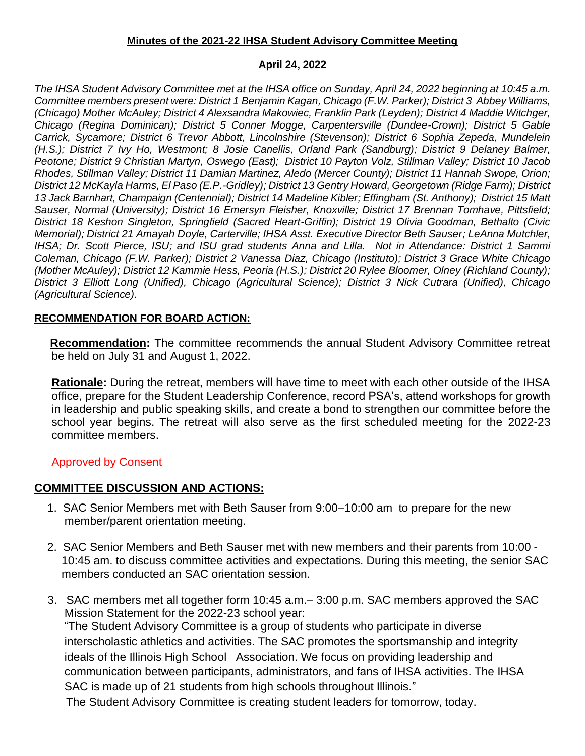### **Minutes of the 2021-22 IHSA Student Advisory Committee Meeting**

### **April 24, 2022**

*The IHSA Student Advisory Committee met at the IHSA office on Sunday, April 24, 2022 beginning at 10:45 a.m. Committee members present were: District 1 Benjamin Kagan, Chicago (F.W. Parker); District 3 Abbey Williams, (Chicago) Mother McAuley; District 4 Alexsandra Makowiec, Franklin Park (Leyden); District 4 Maddie Witchger, Chicago (Regina Dominican); District 5 Conner Mogge, Carpentersville (Dundee-Crown); District 5 Gable Carrick, Sycamore; District 6 Trevor Abbott, Lincolnshire (Stevenson); District 6 Sophia Zepeda, Mundelein (H.S.); District 7 Ivy Ho, Westmont; 8 Josie Canellis, Orland Park (Sandburg); District 9 Delaney Balmer, Peotone; District 9 Christian Martyn, Oswego (East); District 10 Payton Volz, Stillman Valley; District 10 Jacob Rhodes, Stillman Valley; District 11 Damian Martinez, Aledo (Mercer County); District 11 Hannah Swope, Orion; District 12 McKayla Harms, El Paso (E.P.-Gridley); District 13 Gentry Howard, Georgetown (Ridge Farm); District 13 Jack Barnhart, Champaign (Centennial); District 14 Madeline Kibler; Effingham (St. Anthony); District 15 Matt Sauser, Normal (University); District 16 Emersyn Fleisher, Knoxville; District 17 Brennan Tomhave, Pittsfield; District 18 Keshon Singleton, Springfield (Sacred Heart-Griffin); District 19 Olivia Goodman, Bethalto (Civic Memorial); District 21 Amayah Doyle, Carterville; IHSA Asst. Executive Director Beth Sauser; LeAnna Mutchler, IHSA; Dr. Scott Pierce, ISU; and ISU grad students Anna and Lilla. Not in Attendance: District 1 Sammi Coleman, Chicago (F.W. Parker); District 2 Vanessa Diaz, Chicago (Instituto); District 3 Grace White Chicago (Mother McAuley); District 12 Kammie Hess, Peoria (H.S.); District 20 Rylee Bloomer, Olney (Richland County); District 3 Elliott Long (Unified), Chicago (Agricultural Science); District 3 Nick Cutrara (Unified), Chicago (Agricultural Science).*

### **RECOMMENDATION FOR BOARD ACTION:**

 **Recommendation:** The committee recommends the annual Student Advisory Committee retreat be held on July 31 and August 1, 2022.

**Rationale:** During the retreat, members will have time to meet with each other outside of the IHSA office, prepare for the Student Leadership Conference, record PSA's, attend workshops for growth in leadership and public speaking skills, and create a bond to strengthen our committee before the school year begins. The retreat will also serve as the first scheduled meeting for the 2022-23 committee members.

# Approved by Consent

# **COMMITTEE DISCUSSION AND ACTIONS:**

- 1. SAC Senior Members met with Beth Sauser from 9:00–10:00 am to prepare for the new member/parent orientation meeting.
- 2. SAC Senior Members and Beth Sauser met with new members and their parents from 10:00 10:45 am. to discuss committee activities and expectations. During this meeting, the senior SAC members conducted an SAC orientation session.
- 3. SAC members met all together form 10:45 a.m.– 3:00 p.m. SAC members approved the SAC Mission Statement for the 2022-23 school year: "The Student Advisory Committee is a group of students who participate in diverse interscholastic athletics and activities. The SAC promotes the sportsmanship and integrity ideals of the Illinois High School Association. We focus on providing leadership and communication between participants, administrators, and fans of IHSA activities. The IHSA SAC is made up of 21 students from high schools throughout Illinois."

The Student Advisory Committee is creating student leaders for tomorrow, today.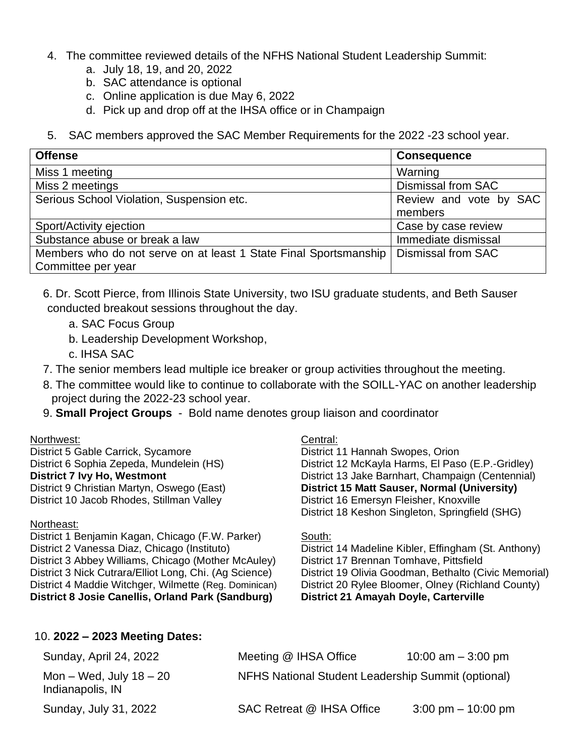- 4. The committee reviewed details of the NFHS National Student Leadership Summit:
	- a. July 18, 19, and 20, 2022
	- b. SAC attendance is optional
	- c. Online application is due May 6, 2022
	- d. Pick up and drop off at the IHSA office or in Champaign
- 5. SAC members approved the SAC Member Requirements for the 2022 -23 school year.

| <b>Offense</b>                                                   | <b>Consequence</b>        |
|------------------------------------------------------------------|---------------------------|
| Miss 1 meeting                                                   | Warning                   |
| Miss 2 meetings                                                  | <b>Dismissal from SAC</b> |
| Serious School Violation, Suspension etc.                        | Review and vote by SAC    |
|                                                                  | members                   |
| Sport/Activity ejection                                          | Case by case review       |
| Substance abuse or break a law                                   | Immediate dismissal       |
| Members who do not serve on at least 1 State Final Sportsmanship | Dismissal from SAC        |
| Committee per year                                               |                           |

- 6. Dr. Scott Pierce, from Illinois State University, two ISU graduate students, and Beth Sauser conducted breakout sessions throughout the day.
	- a. SAC Focus Group
	- b. Leadership Development Workshop,
	- c. IHSA SAC
- 7. The senior members lead multiple ice breaker or group activities throughout the meeting.
- 8. The committee would like to continue to collaborate with the SOILL-YAC on another leadership project during the 2022-23 school year.
- 9. **Small Project Groups** Bold name denotes group liaison and coordinator

### Northwest:

District 5 Gable Carrick, Sycamore District 6 Sophia Zepeda, Mundelein (HS) **District 7 Ivy Ho, Westmont** District 9 Christian Martyn, Oswego (East) District 10 Jacob Rhodes, Stillman Valley

### Northeast:

District 1 Benjamin Kagan, Chicago (F.W. Parker) District 2 Vanessa Diaz, Chicago (Instituto) District 3 Abbey Williams, Chicago (Mother McAuley) District 3 Nick Cutrara/Elliot Long, Chi. (Ag Science) District 4 Maddie Witchger, Wilmette (Reg. Dominican) **District 8 Josie Canellis, Orland Park (Sandburg)**

### Central:

District 11 Hannah Swopes, Orion District 12 McKayla Harms, El Paso (E.P.-Gridley) District 13 Jake Barnhart, Champaign (Centennial) **District 15 Matt Sauser, Normal (University)** District 16 Emersyn Fleisher, Knoxville District 18 Keshon Singleton, Springfield (SHG)

### South:

District 14 Madeline Kibler, Effingham (St. Anthony) District 17 Brennan Tomhave, Pittsfield District 19 Olivia Goodman, Bethalto (Civic Memorial) District 20 Rylee Bloomer, Olney (Richland County) **District 21 Amayah Doyle, Carterville**

### 10. **2022 – 2023 Meeting Dates:**

| Sunday, April 24, 2022                        | Meeting @ IHSA Office                              | 10:00 am $-$ 3:00 pm                 |
|-----------------------------------------------|----------------------------------------------------|--------------------------------------|
| Mon – Wed, July $18 - 20$<br>Indianapolis, IN | NFHS National Student Leadership Summit (optional) |                                      |
| Sunday, July 31, 2022                         | SAC Retreat @ IHSA Office                          | $3:00 \text{ pm} - 10:00 \text{ pm}$ |